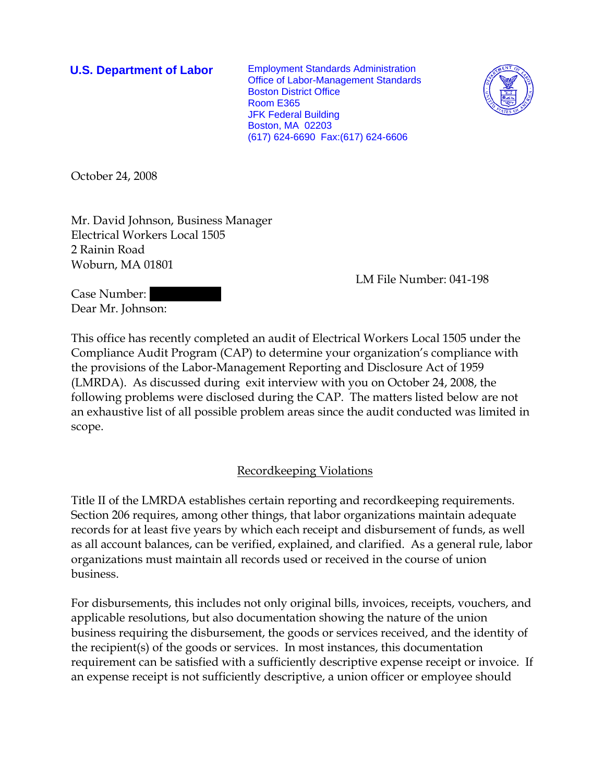**U.S. Department of Labor** Employment Standards Administration Office of Labor-Management Standards Boston District Office Room E365 JFK Federal Building Boston, MA 02203 (617) 624-6690 Fax:(617) 624-6606



October 24, 2008

Mr. David Johnson, Business Manager Electrical Workers Local 1505 2 Rainin Road Woburn, MA 01801

LM File Number: 041-198

Case Number: Dear Mr. Johnson:

This office has recently completed an audit of Electrical Workers Local 1505 under the Compliance Audit Program (CAP) to determine your organization's compliance with the provisions of the Labor-Management Reporting and Disclosure Act of 1959 (LMRDA). As discussed during exit interview with you on October 24, 2008, the following problems were disclosed during the CAP. The matters listed below are not an exhaustive list of all possible problem areas since the audit conducted was limited in scope.

Recordkeeping Violations

Title II of the LMRDA establishes certain reporting and recordkeeping requirements. Section 206 requires, among other things, that labor organizations maintain adequate records for at least five years by which each receipt and disbursement of funds, as well as all account balances, can be verified, explained, and clarified. As a general rule, labor organizations must maintain all records used or received in the course of union business.

For disbursements, this includes not only original bills, invoices, receipts, vouchers, and applicable resolutions, but also documentation showing the nature of the union business requiring the disbursement, the goods or services received, and the identity of the recipient(s) of the goods or services. In most instances, this documentation requirement can be satisfied with a sufficiently descriptive expense receipt or invoice. If an expense receipt is not sufficiently descriptive, a union officer or employee should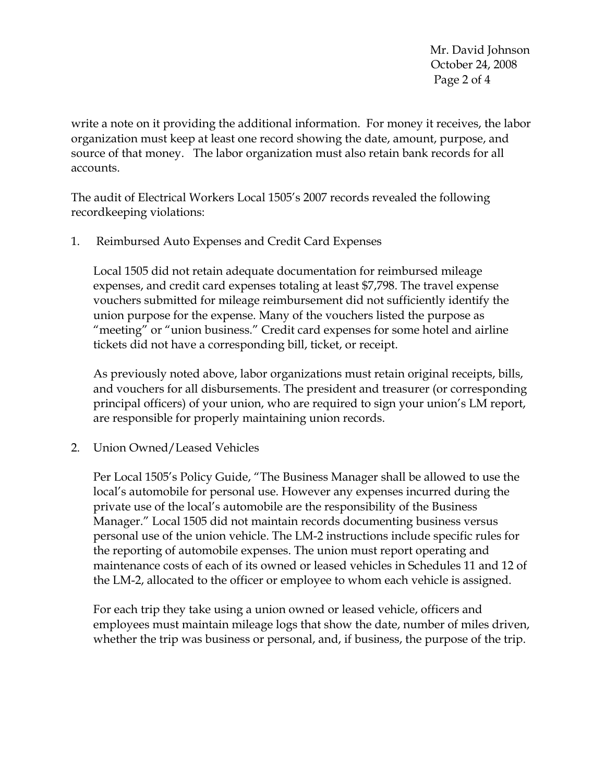Mr. David Johnson October 24, 2008 Page 2 of 4

write a note on it providing the additional information. For money it receives, the labor organization must keep at least one record showing the date, amount, purpose, and source of that money. The labor organization must also retain bank records for all accounts.

The audit of Electrical Workers Local 1505's 2007 records revealed the following recordkeeping violations:

1. Reimbursed Auto Expenses and Credit Card Expenses

Local 1505 did not retain adequate documentation for reimbursed mileage expenses, and credit card expenses totaling at least \$7,798. The travel expense vouchers submitted for mileage reimbursement did not sufficiently identify the union purpose for the expense. Many of the vouchers listed the purpose as "meeting" or "union business." Credit card expenses for some hotel and airline tickets did not have a corresponding bill, ticket, or receipt.

As previously noted above, labor organizations must retain original receipts, bills, and vouchers for all disbursements. The president and treasurer (or corresponding principal officers) of your union, who are required to sign your union's LM report, are responsible for properly maintaining union records.

2. Union Owned/Leased Vehicles

Per Local 1505's Policy Guide, "The Business Manager shall be allowed to use the local's automobile for personal use. However any expenses incurred during the private use of the local's automobile are the responsibility of the Business Manager." Local 1505 did not maintain records documenting business versus personal use of the union vehicle. The LM-2 instructions include specific rules for the reporting of automobile expenses. The union must report operating and maintenance costs of each of its owned or leased vehicles in Schedules 11 and 12 of the LM-2, allocated to the officer or employee to whom each vehicle is assigned.

For each trip they take using a union owned or leased vehicle, officers and employees must maintain mileage logs that show the date, number of miles driven, whether the trip was business or personal, and, if business, the purpose of the trip.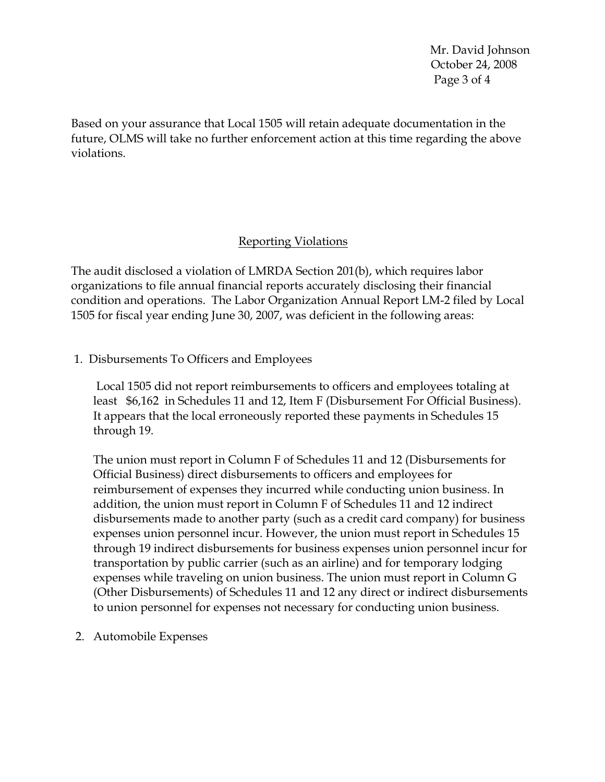Mr. David Johnson October 24, 2008 Page 3 of 4

Based on your assurance that Local 1505 will retain adequate documentation in the future, OLMS will take no further enforcement action at this time regarding the above violations.

## Reporting Violations

The audit disclosed a violation of LMRDA Section 201(b), which requires labor organizations to file annual financial reports accurately disclosing their financial condition and operations. The Labor Organization Annual Report LM-2 filed by Local 1505 for fiscal year ending June 30, 2007, was deficient in the following areas:

1. Disbursements To Officers and Employees

 Local 1505 did not report reimbursements to officers and employees totaling at least \$6,162 in Schedules 11 and 12, Item F (Disbursement For Official Business). It appears that the local erroneously reported these payments in Schedules 15 through 19.

The union must report in Column F of Schedules 11 and 12 (Disbursements for Official Business) direct disbursements to officers and employees for reimbursement of expenses they incurred while conducting union business. In addition, the union must report in Column F of Schedules 11 and 12 indirect disbursements made to another party (such as a credit card company) for business expenses union personnel incur. However, the union must report in Schedules 15 through 19 indirect disbursements for business expenses union personnel incur for transportation by public carrier (such as an airline) and for temporary lodging expenses while traveling on union business. The union must report in Column G (Other Disbursements) of Schedules 11 and 12 any direct or indirect disbursements to union personnel for expenses not necessary for conducting union business.

2. Automobile Expenses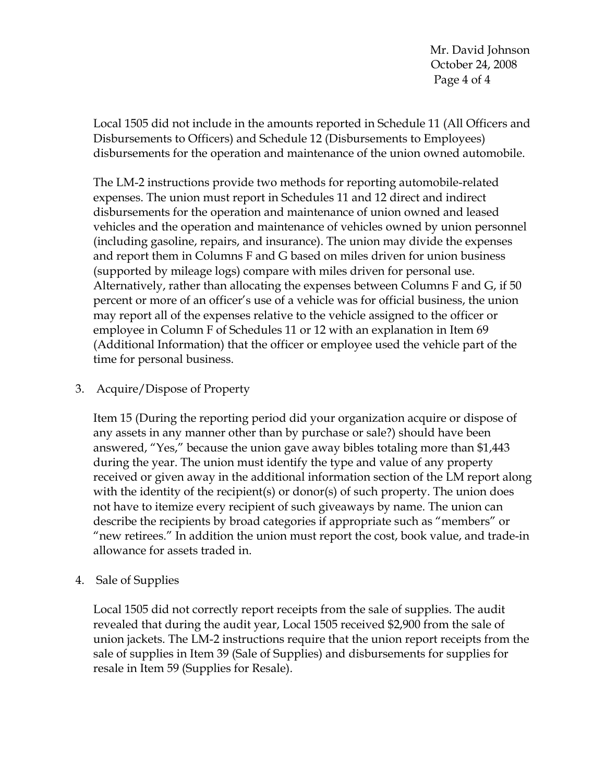Mr. David Johnson October 24, 2008 Page 4 of 4

Local 1505 did not include in the amounts reported in Schedule 11 (All Officers and Disbursements to Officers) and Schedule 12 (Disbursements to Employees) disbursements for the operation and maintenance of the union owned automobile.

The LM-2 instructions provide two methods for reporting automobile-related expenses. The union must report in Schedules 11 and 12 direct and indirect disbursements for the operation and maintenance of union owned and leased vehicles and the operation and maintenance of vehicles owned by union personnel (including gasoline, repairs, and insurance). The union may divide the expenses and report them in Columns F and G based on miles driven for union business (supported by mileage logs) compare with miles driven for personal use. Alternatively, rather than allocating the expenses between Columns F and G, if 50 percent or more of an officer's use of a vehicle was for official business, the union may report all of the expenses relative to the vehicle assigned to the officer or employee in Column F of Schedules 11 or 12 with an explanation in Item 69 (Additional Information) that the officer or employee used the vehicle part of the time for personal business.

## 3. Acquire/Dispose of Property

Item 15 (During the reporting period did your organization acquire or dispose of any assets in any manner other than by purchase or sale?) should have been answered, "Yes," because the union gave away bibles totaling more than \$1,443 during the year. The union must identify the type and value of any property received or given away in the additional information section of the LM report along with the identity of the recipient(s) or donor(s) of such property. The union does not have to itemize every recipient of such giveaways by name. The union can describe the recipients by broad categories if appropriate such as "members" or "new retirees." In addition the union must report the cost, book value, and trade-in allowance for assets traded in.

## 4. Sale of Supplies

Local 1505 did not correctly report receipts from the sale of supplies. The audit revealed that during the audit year, Local 1505 received \$2,900 from the sale of union jackets. The LM-2 instructions require that the union report receipts from the sale of supplies in Item 39 (Sale of Supplies) and disbursements for supplies for resale in Item 59 (Supplies for Resale).